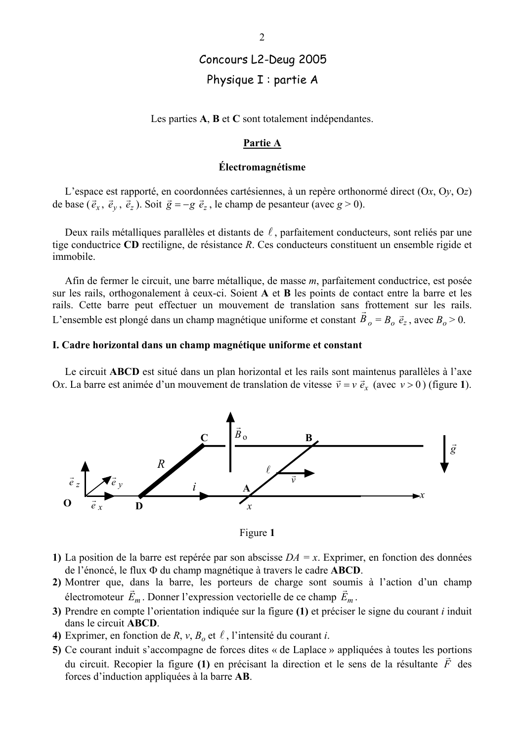# Concours L2-Deug 2005 Physique I : partie A

Les parties  $A$ ,  $B$  et  $C$  sont totalement indépendantes.

### Partie A

## Électromagnétisme

L'espace est rapporté, en coordonnées cartésiennes, à un repère orthonormé direct  $(Ox, Oy, Oz)$ de base  $(\vec{e}_x, \vec{e}_y, \vec{e}_z)$ . Soit  $\vec{g} = -g \vec{e}_z$ , le champ de pesanteur (avec  $g > 0$ ).

Deux rails métalliques parallèles et distants de  $\ell$ , parfaitement conducteurs, sont reliés par une tige conductrice CD rectiligne, de résistance R. Ces conducteurs constituent un ensemble rigide et immobile.

Afin de fermer le circuit, une barre métallique, de masse m, parfaitement conductrice, est posée sur les rails, orthogonalement à ceux-ci. Soient A et B les points de contact entre la barre et les rails. Cette barre peut effectuer un mouvement de translation sans frottement sur les rails. L'ensemble est plongé dans un champ magnétique uniforme et constant  $B_0 = B_0 \vec{e}_z$ , avec  $B_0 > 0$ .

## I. Cadre horizontal dans un champ magnétique uniforme et constant

Le circuit ABCD est situé dans un plan horizontal et les rails sont maintenus parallèles à l'axe Ox. La barre est animée d'un mouvement de translation de vitesse  $\vec{v} = v \vec{e}_x$  (avec  $v > 0$ ) (figure 1).



Figure 1

- 1) La position de la barre est repérée par son abscisse  $DA = x$ . Exprimer, en fonction des données de l'énoncé, le flux  $\Phi$  du champ magnétique à travers le cadre ABCD.
- 2) Montrer que, dans la barre, les porteurs de charge sont soumis à l'action d'un champ électromoteur  $\vec{E}_m$ . Donner l'expression vectorielle de ce champ  $\vec{E}_m$ .
- 3) Prendre en compte l'orientation indiquée sur la figure  $(1)$  et préciser le signe du courant i induit dans le circuit ABCD.
- 4) Exprimer, en fonction de R, v,  $B_0$  et  $\ell$ , l'intensité du courant i.
- 5) Ce courant induit s'accompagne de forces dites « de Laplace » appliquées à toutes les portions du circuit. Recopier la figure (1) en précisant la direction et le sens de la résultante  $\vec{F}$  des forces d'induction appliquées à la barre **AB**.